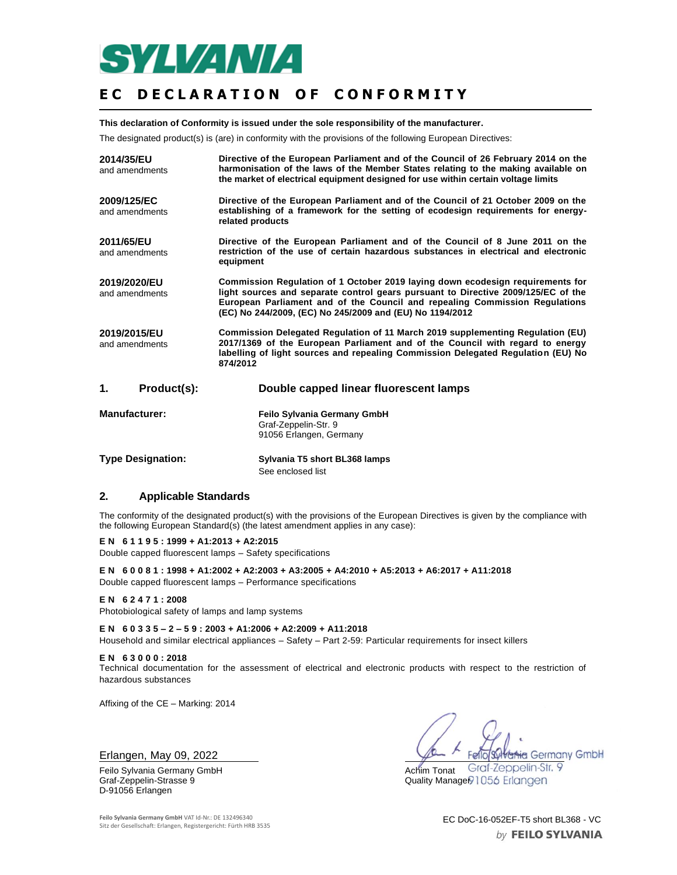

# **EC DECLARATION OF CONFORMITY**

**This declaration of Conformity is issued under the sole responsibility of the manufacturer.**

The designated product(s) is (are) in conformity with the provisions of the following European Directives:

| 2014/35/EU<br>and amendments   | Directive of the European Parliament and of the Council of 26 February 2014 on the<br>harmonisation of the laws of the Member States relating to the making available on<br>the market of electrical equipment designed for use within certain voltage limits                                                  |  |
|--------------------------------|----------------------------------------------------------------------------------------------------------------------------------------------------------------------------------------------------------------------------------------------------------------------------------------------------------------|--|
| 2009/125/EC<br>and amendments  | Directive of the European Parliament and of the Council of 21 October 2009 on the<br>establishing of a framework for the setting of ecodesign requirements for energy-<br>related products                                                                                                                     |  |
| 2011/65/EU<br>and amendments   | Directive of the European Parliament and of the Council of 8 June 2011 on the<br>restriction of the use of certain hazardous substances in electrical and electronic<br>equipment                                                                                                                              |  |
| 2019/2020/EU<br>and amendments | Commission Regulation of 1 October 2019 laying down ecodesign requirements for<br>light sources and separate control gears pursuant to Directive 2009/125/EC of the<br>European Parliament and of the Council and repealing Commission Regulations<br>(EC) No 244/2009, (EC) No 245/2009 and (EU) No 1194/2012 |  |
| 2019/2015/EU<br>and amendments | Commission Delegated Regulation of 11 March 2019 supplementing Regulation (EU)<br>2017/1369 of the European Parliament and of the Council with regard to energy<br>labelling of light sources and repealing Commission Delegated Regulation (EU) No<br>874/2012                                                |  |
| Product(s):<br>1.              | Double capped linear fluorescent lamps                                                                                                                                                                                                                                                                         |  |
| <b>Manufacturer:</b>           | <b>Feilo Sylvania Germany GmbH</b><br>Graf-Zeppelin-Str. 9<br>91056 Erlangen, Germany                                                                                                                                                                                                                          |  |

| <b>Type Designation:</b> | Sylvania T5 short BL368 lamps |
|--------------------------|-------------------------------|
|                          | See enclosed list             |

### **2. Applicable Standards**

The conformity of the designated product(s) with the provisions of the European Directives is given by the compliance with the following European Standard(s) (the latest amendment applies in any case):

**E N 6 1 1 9 5 : 1999 + A1:2013 + A2:2015** Double capped fluorescent lamps – Safety specifications

**E N 6 0 0 8 1 : 1998 + A1:2002 + A2:2003 + A3:2005 + A4:2010 + A5:2013 + A6:2017 + A11:2018** Double capped fluorescent lamps – Performance specifications

#### **E N 6 2 4 7 1 : 2008**

Photobiological safety of lamps and lamp systems

**E N 6 0 3 3 5 – 2 – 5 9 : 2003 + A1:2006 + A2:2009 + A11:2018** Household and similar electrical appliances – Safety – Part 2-59: Particular requirements for insect killers

**E N 6 3 0 0 0 : 2018**

Technical documentation for the assessment of electrical and electronic products with respect to the restriction of hazardous substances

Affixing of the CE – Marking: 2014

#### Erlangen, May 09, 2022

Graf-Zeppelin-Strasse 9 D-91056 Erlangen

**Hig Germany GmbH** Felic Graf-Zeppelin-Str. 9

Feilo Sylvania Germany GmbH Achim Tonat

**Feilo Sylvania Germany GmbH** VAT Id-Nr.: DE 132496340 **EC DoC-16-052EF-T5 short BL368 - VC** Sitz der Gesellschaft: Erlangen, Registergericht: Fürth HRB 3535

by FEILO SYLVANIA